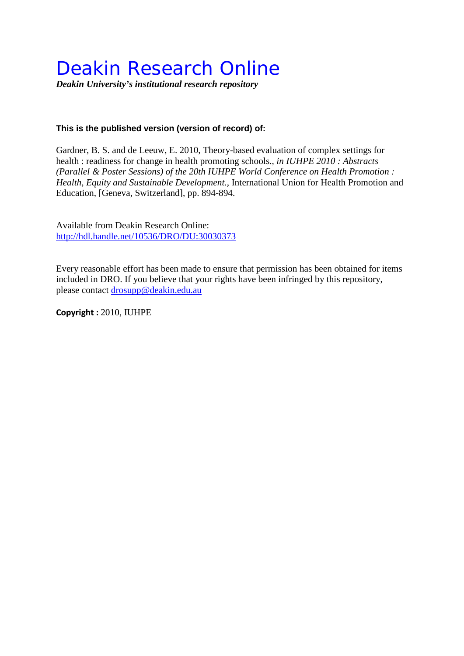## Deakin Research Online

*Deakin University's institutional research repository*

## **This is the published version (version of record) of:**

Gardner, B. S. and de Leeuw, E. 2010, Theory-based evaluation of complex settings for health : readiness for change in health promoting schools.*, in IUHPE 2010 : Abstracts (Parallel & Poster Sessions) of the 20th IUHPE World Conference on Health Promotion : Health, Equity and Sustainable Development.*, International Union for Health Promotion and Education, [Geneva, Switzerland], pp. 894-894.

Available from Deakin Research Online: <http://hdl.handle.net/10536/DRO/DU:30030373>

Every reasonable effort has been made to ensure that permission has been obtained for items included in DRO. If you believe that your rights have been infringed by this repository, please contact [drosupp@deakin.edu.au](mailto:drosupp@deakin.edu.au) 

**Copyright :** 2010, IUHPE